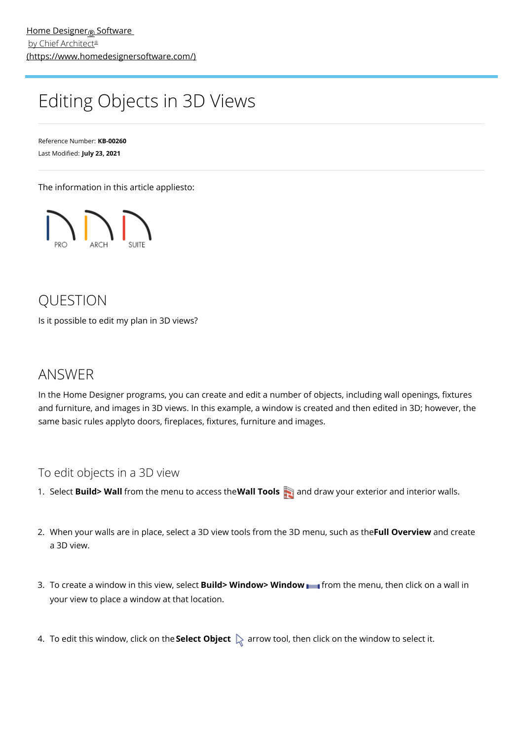## Editing Objects in 3D Views

Reference Number: **KB-00260** Last Modified: **July 23, 2021**

The information in this article appliesto:



## **OUESTION**

Is it possible to edit my plan in 3D views?

## ANSWER

In the Home Designer programs, you can create and edit a number of objects, including wall openings, fixtures and furniture, and images in 3D views. In this example, a window is created and then edited in 3D; however, the same basic rules applyto doors, fireplaces, fixtures, furniture and images.

## To edit objects in a 3D view

- 1. Select **Build> Wall** from the menu to access the**Wall Tools** and draw your exterior and interior walls.
- 2. When your walls are in place, select a 3D view tools from the 3D menu, such as the**Full Overview** and create a 3D view.
- 3. To create a window in this view, select **Build> Window> Window** from the menu, then click on a wall in your view to place a window at that location.
- 4. To edit this window, click on the **Select Object**  $\&$  arrow tool, then click on the window to select it.